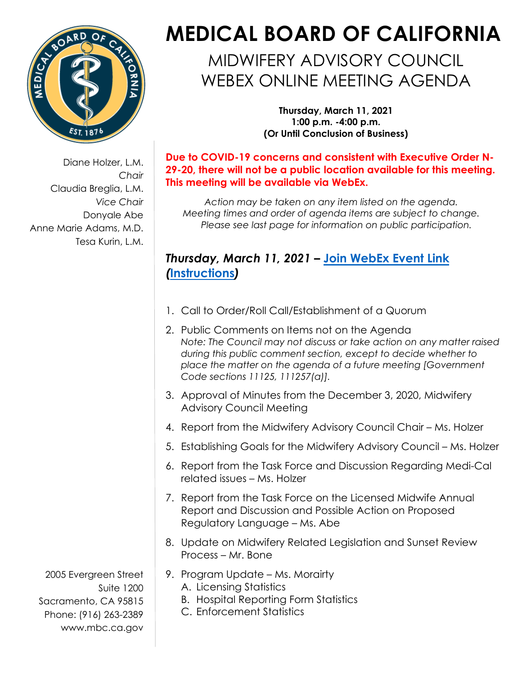

Diane Holzer, L.M. *Chair*  Claudia Breglia, L.M. *Vice Chair*  Donyale Abe Anne Marie Adams, M.D. Tesa Kurin, L.M.

## **MEDICAL BOARD OF CALIFORNIA**

MIDWIFERY ADVISORY COUNCIL WEBEX ONLINE MEETING AGENDA

> **Thursday, March 11, 2021 1:00 p.m. -4:00 p.m. (Or Until Conclusion of Business)**

**Due to COVID-19 concerns and consistent with Executive Order N-29-20, there will not be a public location available for this meeting. This meeting will be available via WebEx.** 

*Action may be taken on any item listed on the agenda. Meeting times and order of agenda items are subject to change. Please see last page for information on public participation.* 

## *Thursday, March 11, 2021 –* **[Join WebEx Event Link](https://dca-meetings.webex.com/dca-meetings/onstage/g.php?MTID=e938780ccc9360f71721bc22cd8d4b02d)**  *(***[Instructions](https://www.mbc.ca.gov/Download/User-Guides/HowToJoinAWebExEvent.pdf)***)*

- 1. Call to Order/Roll Call/Establishment of a Quorum
- 2. Public Comments on Items not on the Agenda *Note: The Council may not discuss or take action on any matter raised during this public comment section, except to decide whether to place the matter on the agenda of a future meeting [Government Code sections 11125, 111257(a)].*
- 3. Approval of Minutes from the December 3, 2020, Midwifery Advisory Council Meeting
- 4. Report from the Midwifery Advisory Council Chair Ms. Holzer
- 5. Establishing Goals for the Midwifery Advisory Council Ms. Holzer
- 6. Report from the Task Force and Discussion Regarding Medi-Cal related issues – Ms. Holzer
- Regulatory Language Ms. Abe 7. Report from the Task Force on the Licensed Midwife Annual Report and Discussion and Possible Action on Proposed
- Process Mr. Bone 8. Update on Midwifery Related Legislation and Sunset Review
- 9. Program Update Ms. Morairty
	- A. Licensing Statistics
		- B. Hospital Reporting Form Statistics
		- C. Enforcement Statistics

2005 Evergreen Street Suite 1200 Sacramento, CA 95815 Phone: (916) 263-2389 [www.mbc.ca.gov](http://www.mbc.ca.gov/)